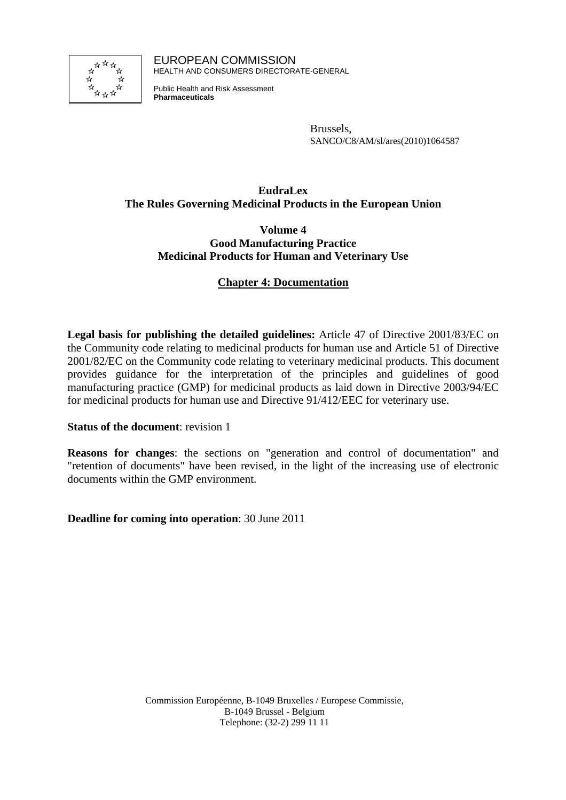

EUROPEAN COMMISSION HEALTH AND CONSUMERS DIRECTORATE-GENERAL

Public Health and Risk Assessment **Pharmaceuticals**

> Brussels, SANCO/C8/AM/sl/ares(2010)1064587

# **EudraLex The Rules Governing Medicinal Products in the European Union**

**Volume 4 Good Manufacturing Practice Medicinal Products for Human and Veterinary Use** 

# **Chapter 4: Documentation**

**Legal basis for publishing the detailed guidelines:** Article 47 of Directive 2001/83/EC on the Community code relating to medicinal products for human use and Article 51 of Directive 2001/82/EC on the Community code relating to veterinary medicinal products. This document provides guidance for the interpretation of the principles and guidelines of good manufacturing practice (GMP) for medicinal products as laid down in Directive 2003/94/EC for medicinal products for human use and Directive 91/412/EEC for veterinary use.

#### **Status of the document**: revision 1

**Reasons for changes**: the sections on "generation and control of documentation" and "retention of documents" have been revised, in the light of the increasing use of electronic documents within the GMP environment.

**Deadline for coming into operation**: 30 June 2011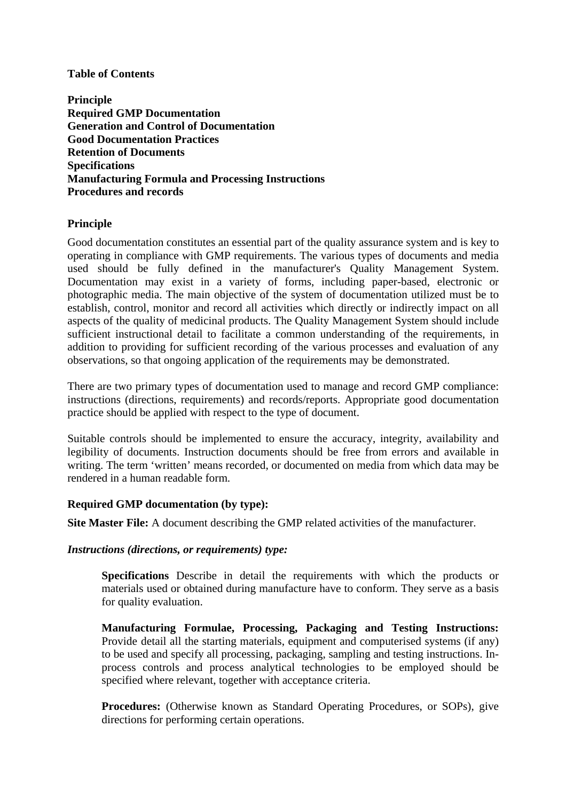### **Table of Contents**

**Principle Required GMP Documentation Generation and Control of Documentation Good Documentation Practices Retention of Documents Specifications Manufacturing Formula and Processing Instructions Procedures and records**

### **Principle**

Good documentation constitutes an essential part of the quality assurance system and is key to operating in compliance with GMP requirements. The various types of documents and media used should be fully defined in the manufacturer's Quality Management System. Documentation may exist in a variety of forms, including paper-based, electronic or photographic media. The main objective of the system of documentation utilized must be to establish, control, monitor and record all activities which directly or indirectly impact on all aspects of the quality of medicinal products. The Quality Management System should include sufficient instructional detail to facilitate a common understanding of the requirements, in addition to providing for sufficient recording of the various processes and evaluation of any observations, so that ongoing application of the requirements may be demonstrated.

There are two primary types of documentation used to manage and record GMP compliance: instructions (directions, requirements) and records/reports. Appropriate good documentation practice should be applied with respect to the type of document.

Suitable controls should be implemented to ensure the accuracy, integrity, availability and legibility of documents. Instruction documents should be free from errors and available in writing. The term 'written' means recorded, or documented on media from which data may be rendered in a human readable form.

#### **Required GMP documentation (by type):**

**Site Master File:** A document describing the GMP related activities of the manufacturer.

#### *Instructions (directions, or requirements) type:*

**Specifications** Describe in detail the requirements with which the products or materials used or obtained during manufacture have to conform. They serve as a basis for quality evaluation.

**Manufacturing Formulae, Processing, Packaging and Testing Instructions:**  Provide detail all the starting materials, equipment and computerised systems (if any) to be used and specify all processing, packaging, sampling and testing instructions. Inprocess controls and process analytical technologies to be employed should be specified where relevant, together with acceptance criteria.

**Procedures:** (Otherwise known as Standard Operating Procedures, or SOPs), give directions for performing certain operations.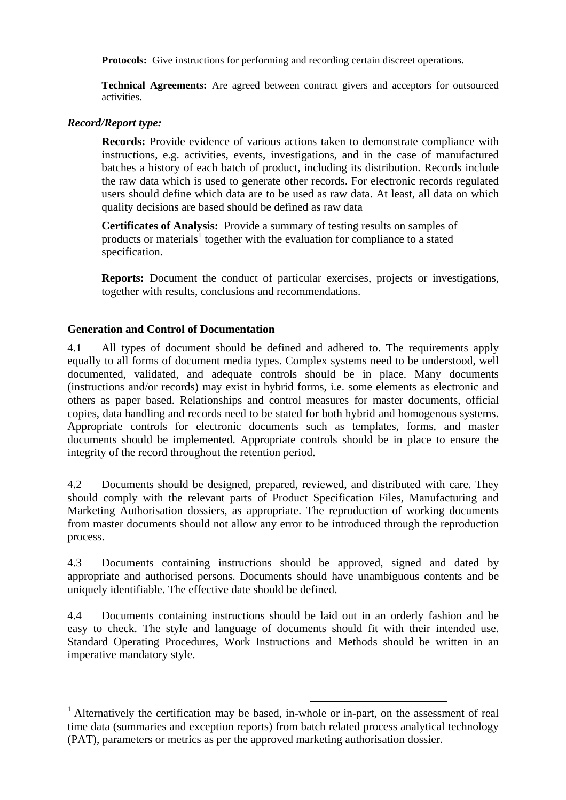**Protocols:** Give instructions for performing and recording certain discreet operations.

**Technical Agreements:** Are agreed between contract givers and acceptors for outsourced activities.

### *Record/Report type:*

**Records:** Provide evidence of various actions taken to demonstrate compliance with instructions, e.g. activities, events, investigations, and in the case of manufactured batches a history of each batch of product, including its distribution. Records include the raw data which is used to generate other records. For electronic records regulated users should define which data are to be used as raw data. At least, all data on which quality decisions are based should be defined as raw data

**Certificates of Analysis:** Provide a summary of testing results on samples of products or materials<sup>1</sup> together with the evaluation for compliance to a stated specification.

**Reports:** Document the conduct of particular exercises, projects or investigations, together with results, conclusions and recommendations.

## **Generation and Control of Documentation**

4.1 All types of document should be defined and adhered to. The requirements apply equally to all forms of document media types. Complex systems need to be understood, well documented, validated, and adequate controls should be in place. Many documents (instructions and/or records) may exist in hybrid forms, i.e. some elements as electronic and others as paper based. Relationships and control measures for master documents, official copies, data handling and records need to be stated for both hybrid and homogenous systems. Appropriate controls for electronic documents such as templates, forms, and master documents should be implemented. Appropriate controls should be in place to ensure the integrity of the record throughout the retention period.

4.2 Documents should be designed, prepared, reviewed, and distributed with care. They should comply with the relevant parts of Product Specification Files, Manufacturing and Marketing Authorisation dossiers, as appropriate. The reproduction of working documents from master documents should not allow any error to be introduced through the reproduction process.

4.3 Documents containing instructions should be approved, signed and dated by appropriate and authorised persons. Documents should have unambiguous contents and be uniquely identifiable. The effective date should be defined.

4.4 Documents containing instructions should be laid out in an orderly fashion and be easy to check. The style and language of documents should fit with their intended use. Standard Operating Procedures, Work Instructions and Methods should be written in an imperative mandatory style.

<sup>&</sup>lt;sup>1</sup> Alternatively the certification may be based, in-whole or in-part, on the assessment of real time data (summaries and exception reports) from batch related process analytical technology (PAT), parameters or metrics as per the approved marketing authorisation dossier.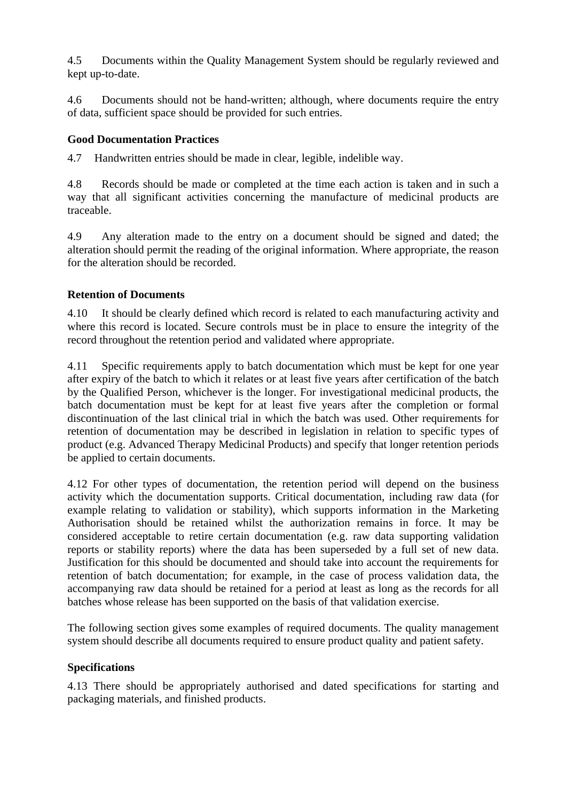4.5 Documents within the Quality Management System should be regularly reviewed and kept up-to-date.

4.6 Documents should not be hand-written; although, where documents require the entry of data, sufficient space should be provided for such entries.

## **Good Documentation Practices**

4.7 Handwritten entries should be made in clear, legible, indelible way.

4.8 Records should be made or completed at the time each action is taken and in such a way that all significant activities concerning the manufacture of medicinal products are traceable.

4.9 Any alteration made to the entry on a document should be signed and dated; the alteration should permit the reading of the original information. Where appropriate, the reason for the alteration should be recorded.

## **Retention of Documents**

4.10 It should be clearly defined which record is related to each manufacturing activity and where this record is located. Secure controls must be in place to ensure the integrity of the record throughout the retention period and validated where appropriate.

4.11 Specific requirements apply to batch documentation which must be kept for one year after expiry of the batch to which it relates or at least five years after certification of the batch by the Qualified Person, whichever is the longer. For investigational medicinal products, the batch documentation must be kept for at least five years after the completion or formal discontinuation of the last clinical trial in which the batch was used. Other requirements for retention of documentation may be described in legislation in relation to specific types of product (e.g. Advanced Therapy Medicinal Products) and specify that longer retention periods be applied to certain documents.

4.12 For other types of documentation, the retention period will depend on the business activity which the documentation supports. Critical documentation, including raw data (for example relating to validation or stability), which supports information in the Marketing Authorisation should be retained whilst the authorization remains in force. It may be considered acceptable to retire certain documentation (e.g. raw data supporting validation reports or stability reports) where the data has been superseded by a full set of new data. Justification for this should be documented and should take into account the requirements for retention of batch documentation; for example, in the case of process validation data, the accompanying raw data should be retained for a period at least as long as the records for all batches whose release has been supported on the basis of that validation exercise.

The following section gives some examples of required documents. The quality management system should describe all documents required to ensure product quality and patient safety.

## **Specifications**

4.13 There should be appropriately authorised and dated specifications for starting and packaging materials, and finished products.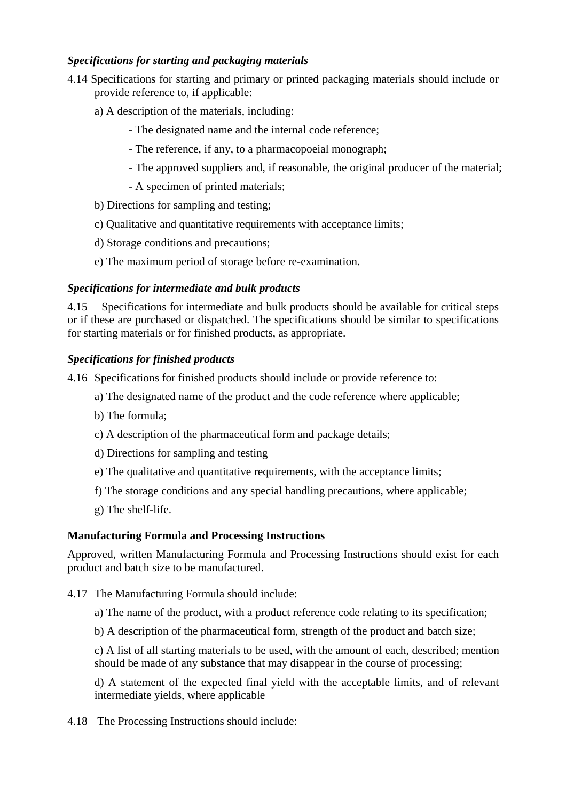## *Specifications for starting and packaging materials*

- 4.14 Specifications for starting and primary or printed packaging materials should include or provide reference to, if applicable:
	- a) A description of the materials, including:
		- The designated name and the internal code reference;
		- The reference, if any, to a pharmacopoeial monograph;
		- The approved suppliers and, if reasonable, the original producer of the material;
		- A specimen of printed materials;
	- b) Directions for sampling and testing;
	- c) Qualitative and quantitative requirements with acceptance limits;
	- d) Storage conditions and precautions;
	- e) The maximum period of storage before re-examination.

# *Specifications for intermediate and bulk products*

4.15 Specifications for intermediate and bulk products should be available for critical steps or if these are purchased or dispatched. The specifications should be similar to specifications for starting materials or for finished products, as appropriate.

# *Specifications for finished products*

- 4.16 Specifications for finished products should include or provide reference to:
	- a) The designated name of the product and the code reference where applicable;
	- b) The formula;
	- c) A description of the pharmaceutical form and package details;
	- d) Directions for sampling and testing
	- e) The qualitative and quantitative requirements, with the acceptance limits;
	- f) The storage conditions and any special handling precautions, where applicable;
	- g) The shelf-life.

# **Manufacturing Formula and Processing Instructions**

Approved, written Manufacturing Formula and Processing Instructions should exist for each product and batch size to be manufactured.

- 4.17 The Manufacturing Formula should include:
	- a) The name of the product, with a product reference code relating to its specification;
	- b) A description of the pharmaceutical form, strength of the product and batch size;

c) A list of all starting materials to be used, with the amount of each, described; mention should be made of any substance that may disappear in the course of processing;

d) A statement of the expected final yield with the acceptable limits, and of relevant intermediate yields, where applicable

4.18 The Processing Instructions should include: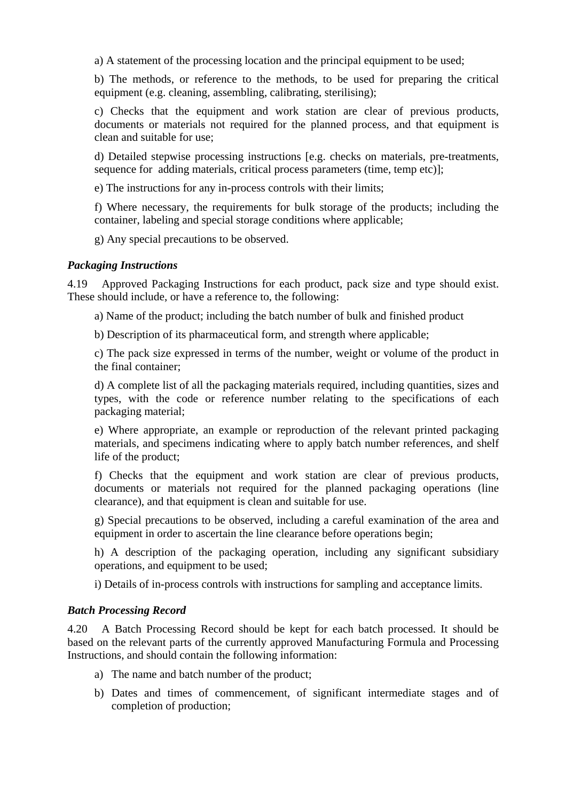a) A statement of the processing location and the principal equipment to be used;

b) The methods, or reference to the methods, to be used for preparing the critical equipment (e.g. cleaning, assembling, calibrating, sterilising);

c) Checks that the equipment and work station are clear of previous products, documents or materials not required for the planned process, and that equipment is clean and suitable for use;

d) Detailed stepwise processing instructions [e.g. checks on materials, pre-treatments, sequence for adding materials, critical process parameters (time, temp etc)];

e) The instructions for any in-process controls with their limits;

f) Where necessary, the requirements for bulk storage of the products; including the container, labeling and special storage conditions where applicable;

g) Any special precautions to be observed.

### *Packaging Instructions*

4.19 Approved Packaging Instructions for each product, pack size and type should exist. These should include, or have a reference to, the following:

a) Name of the product; including the batch number of bulk and finished product

b) Description of its pharmaceutical form, and strength where applicable;

c) The pack size expressed in terms of the number, weight or volume of the product in the final container;

d) A complete list of all the packaging materials required, including quantities, sizes and types, with the code or reference number relating to the specifications of each packaging material;

e) Where appropriate, an example or reproduction of the relevant printed packaging materials, and specimens indicating where to apply batch number references, and shelf life of the product;

f) Checks that the equipment and work station are clear of previous products, documents or materials not required for the planned packaging operations (line clearance), and that equipment is clean and suitable for use.

g) Special precautions to be observed, including a careful examination of the area and equipment in order to ascertain the line clearance before operations begin;

h) A description of the packaging operation, including any significant subsidiary operations, and equipment to be used;

i) Details of in-process controls with instructions for sampling and acceptance limits.

## *Batch Processing Record*

4.20 A Batch Processing Record should be kept for each batch processed. It should be based on the relevant parts of the currently approved Manufacturing Formula and Processing Instructions, and should contain the following information:

- a) The name and batch number of the product;
- b) Dates and times of commencement, of significant intermediate stages and of completion of production;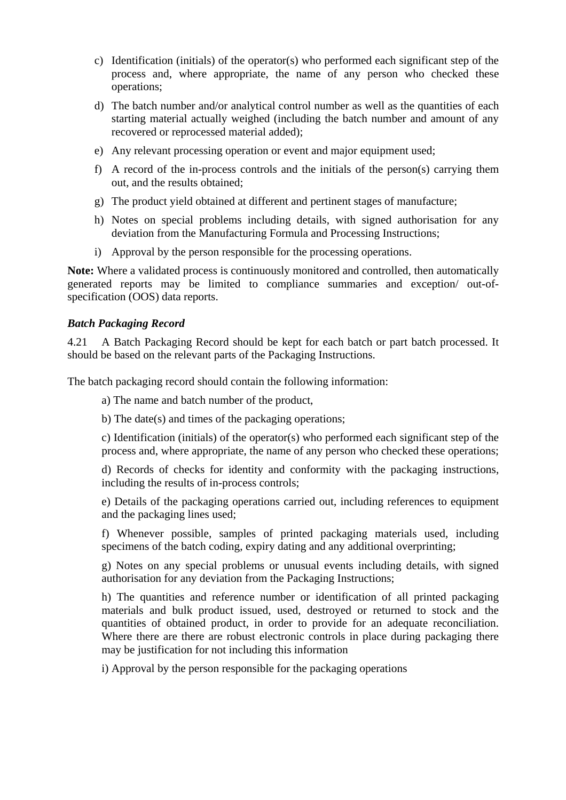- c) Identification (initials) of the operator(s) who performed each significant step of the process and, where appropriate, the name of any person who checked these operations;
- d) The batch number and/or analytical control number as well as the quantities of each starting material actually weighed (including the batch number and amount of any recovered or reprocessed material added);
- e) Any relevant processing operation or event and major equipment used;
- f) A record of the in-process controls and the initials of the person(s) carrying them out, and the results obtained;
- g) The product yield obtained at different and pertinent stages of manufacture;
- h) Notes on special problems including details, with signed authorisation for any deviation from the Manufacturing Formula and Processing Instructions;
- i) Approval by the person responsible for the processing operations.

**Note:** Where a validated process is continuously monitored and controlled, then automatically generated reports may be limited to compliance summaries and exception/ out-ofspecification (OOS) data reports.

### *Batch Packaging Record*

4.21 A Batch Packaging Record should be kept for each batch or part batch processed. It should be based on the relevant parts of the Packaging Instructions.

The batch packaging record should contain the following information:

a) The name and batch number of the product,

b) The date(s) and times of the packaging operations;

c) Identification (initials) of the operator(s) who performed each significant step of the process and, where appropriate, the name of any person who checked these operations;

d) Records of checks for identity and conformity with the packaging instructions, including the results of in-process controls;

e) Details of the packaging operations carried out, including references to equipment and the packaging lines used;

f) Whenever possible, samples of printed packaging materials used, including specimens of the batch coding, expiry dating and any additional overprinting;

g) Notes on any special problems or unusual events including details, with signed authorisation for any deviation from the Packaging Instructions;

h) The quantities and reference number or identification of all printed packaging materials and bulk product issued, used, destroyed or returned to stock and the quantities of obtained product, in order to provide for an adequate reconciliation. Where there are there are robust electronic controls in place during packaging there may be justification for not including this information

i) Approval by the person responsible for the packaging operations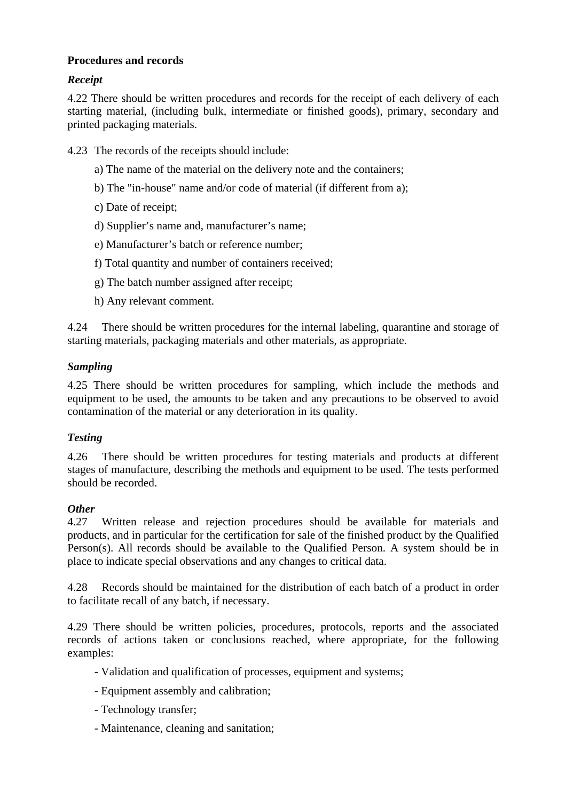## **Procedures and records**

# *Receipt*

4.22 There should be written procedures and records for the receipt of each delivery of each starting material, (including bulk, intermediate or finished goods), primary, secondary and printed packaging materials.

- 4.23 The records of the receipts should include:
	- a) The name of the material on the delivery note and the containers;
	- b) The "in-house" name and/or code of material (if different from a);
	- c) Date of receipt;
	- d) Supplier's name and, manufacturer's name;
	- e) Manufacturer's batch or reference number;
	- f) Total quantity and number of containers received;
	- g) The batch number assigned after receipt;
	- h) Any relevant comment.

4.24 There should be written procedures for the internal labeling, quarantine and storage of starting materials, packaging materials and other materials, as appropriate.

### *Sampling*

4.25 There should be written procedures for sampling, which include the methods and equipment to be used, the amounts to be taken and any precautions to be observed to avoid contamination of the material or any deterioration in its quality.

## *Testing*

4.26 There should be written procedures for testing materials and products at different stages of manufacture, describing the methods and equipment to be used. The tests performed should be recorded.

#### *Other*

4.27 Written release and rejection procedures should be available for materials and products, and in particular for the certification for sale of the finished product by the Qualified Person(s). All records should be available to the Qualified Person. A system should be in place to indicate special observations and any changes to critical data.

4.28 Records should be maintained for the distribution of each batch of a product in order to facilitate recall of any batch, if necessary.

4.29 There should be written policies, procedures, protocols, reports and the associated records of actions taken or conclusions reached, where appropriate, for the following examples:

- Validation and qualification of processes, equipment and systems;
- Equipment assembly and calibration;
- Technology transfer;
- Maintenance, cleaning and sanitation;